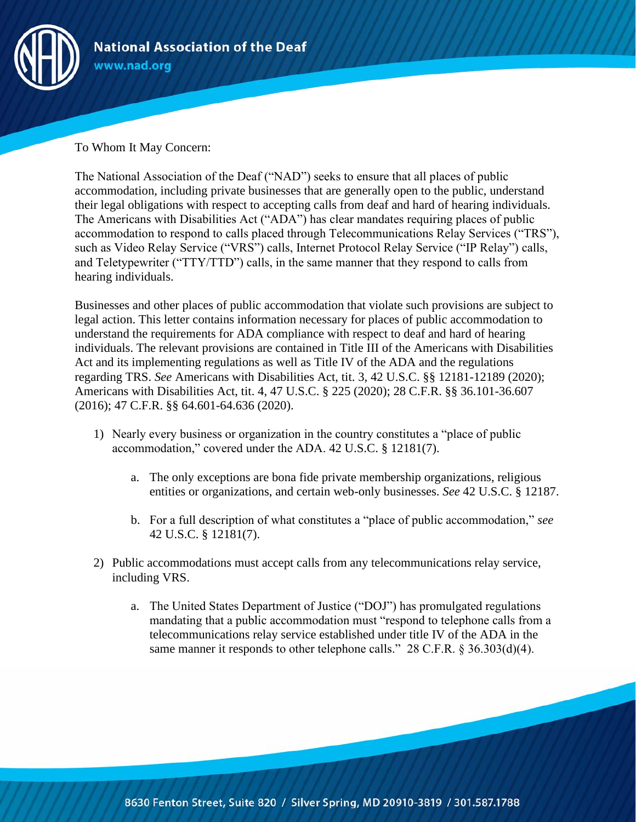

To Whom It May Concern:

The National Association of the Deaf ("NAD") seeks to ensure that all places of public accommodation, including private businesses that are generally open to the public, understand their legal obligations with respect to accepting calls from deaf and hard of hearing individuals. The Americans with Disabilities Act ("ADA") has clear mandates requiring places of public accommodation to respond to calls placed through Telecommunications Relay Services ("TRS"), such as Video Relay Service ("VRS") calls, Internet Protocol Relay Service ("IP Relay") calls, and Teletypewriter ("TTY/TTD") calls, in the same manner that they respond to calls from hearing individuals.

Businesses and other places of public accommodation that violate such provisions are subject to legal action. This letter contains information necessary for places of public accommodation to understand the requirements for ADA compliance with respect to deaf and hard of hearing individuals. The relevant provisions are contained in Title III of the Americans with Disabilities Act and its implementing regulations as well as Title IV of the ADA and the regulations regarding TRS. *See* Americans with Disabilities Act, tit. 3, 42 U.S.C. §§ 12181-12189 (2020); Americans with Disabilities Act, tit. 4, 47 U.S.C. § 225 (2020); 28 C.F.R. §§ 36.101-36.607 (2016); 47 C.F.R. §§ 64.601-64.636 (2020).

- 1) Nearly every business or organization in the country constitutes a "place of public accommodation," covered under the ADA. 42 U.S.C. § 12181(7).
	- a. The only exceptions are bona fide private membership organizations, religious entities or organizations, and certain web-only businesses. *See* 42 U.S.C. § 12187.
	- b. For a full description of what constitutes a "place of public accommodation," *see* 42 U.S.C. § 12181(7).
- 2) Public accommodations must accept calls from any telecommunications relay service, including VRS.
	- a. The United States Department of Justice ("DOJ") has promulgated regulations mandating that a public accommodation must "respond to telephone calls from a telecommunications relay service established under title IV of the ADA in the same manner it responds to other telephone calls." 28 C.F.R. § 36.303(d)(4).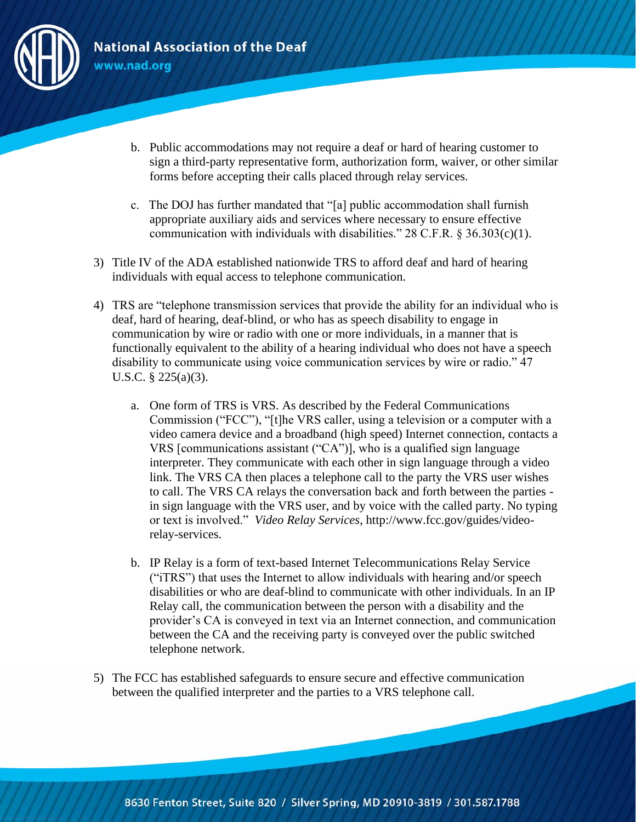

- b. Public accommodations may not require a deaf or hard of hearing customer to sign a third-party representative form, authorization form, waiver, or other similar forms before accepting their calls placed through relay services.
- c. The DOJ has further mandated that "[a] public accommodation shall furnish appropriate auxiliary aids and services where necessary to ensure effective communication with individuals with disabilities." 28 C.F.R.  $\S 36.303(c)(1)$ .
- 3) Title IV of the ADA established nationwide TRS to afford deaf and hard of hearing individuals with equal access to telephone communication.
- 4) TRS are "telephone transmission services that provide the ability for an individual who is deaf, hard of hearing, deaf-blind, or who has as speech disability to engage in communication by wire or radio with one or more individuals, in a manner that is functionally equivalent to the ability of a hearing individual who does not have a speech disability to communicate using voice communication services by wire or radio." 47 U.S.C. § 225(a)(3).
	- a. One form of TRS is VRS. As described by the Federal Communications Commission ("FCC"), "[t]he VRS caller, using a television or a computer with a video camera device and a broadband (high speed) Internet connection, contacts a VRS [communications assistant ("CA")], who is a qualified sign language interpreter. They communicate with each other in sign language through a video link. The VRS CA then places a telephone call to the party the VRS user wishes to call. The VRS CA relays the conversation back and forth between the parties in sign language with the VRS user, and by voice with the called party. No typing or text is involved." *Video Relay Services*, http://www.fcc.gov/guides/videorelay-services.
	- b. IP Relay is a form of text-based Internet Telecommunications Relay Service ("iTRS") that uses the Internet to allow individuals with hearing and/or speech disabilities or who are deaf-blind to communicate with other individuals. In an IP Relay call, the communication between the person with a disability and the provider's CA is conveyed in text via an Internet connection, and communication between the CA and the receiving party is conveyed over the public switched telephone network.
- 5) The FCC has established safeguards to ensure secure and effective communication between the qualified interpreter and the parties to a VRS telephone call.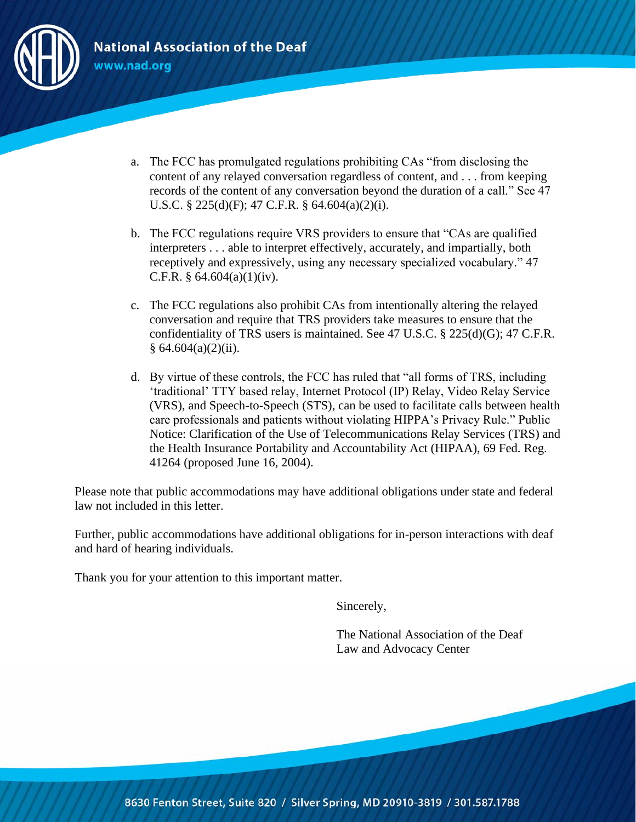



- b. The FCC regulations require VRS providers to ensure that "CAs are qualified interpreters . . . able to interpret effectively, accurately, and impartially, both receptively and expressively, using any necessary specialized vocabulary." 47 C.F.R.  $§ 64.604(a)(1)(iv)$ .
- c. The FCC regulations also prohibit CAs from intentionally altering the relayed conversation and require that TRS providers take measures to ensure that the confidentiality of TRS users is maintained. See 47 U.S.C.  $\S 225(d)(G)$ ; 47 C.F.R.  $§ 64.604(a)(2)(ii).$
- d. By virtue of these controls, the FCC has ruled that "all forms of TRS, including 'traditional' TTY based relay, Internet Protocol (IP) Relay, Video Relay Service (VRS), and Speech-to-Speech (STS), can be used to facilitate calls between health care professionals and patients without violating HIPPA's Privacy Rule." Public Notice: Clarification of the Use of Telecommunications Relay Services (TRS) and the Health Insurance Portability and Accountability Act (HIPAA), 69 Fed. Reg. 41264 (proposed June 16, 2004).

Please note that public accommodations may have additional obligations under state and federal law not included in this letter.

Further, public accommodations have additional obligations for in-person interactions with deaf and hard of hearing individuals.

Thank you for your attention to this important matter.

Sincerely,

The National Association of the Deaf Law and Advocacy Center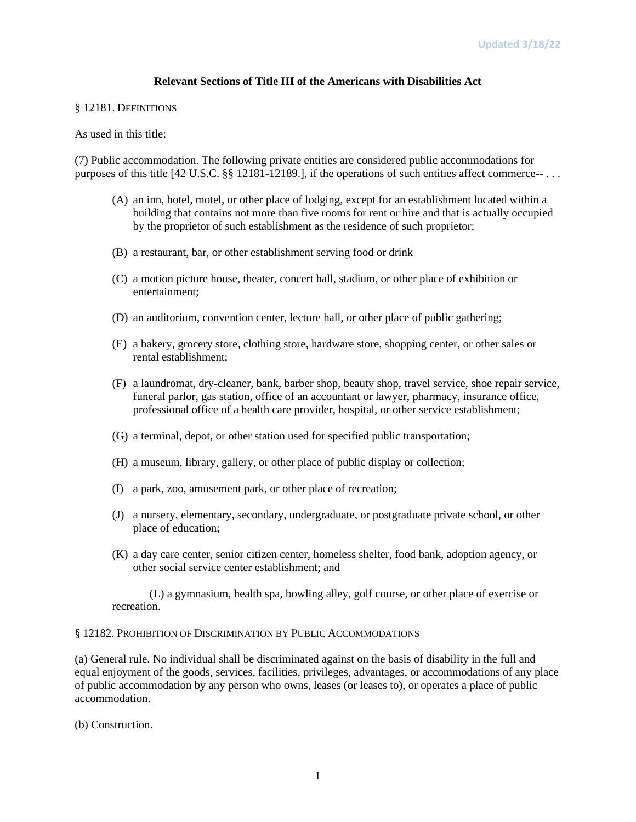## **Relevant Sections of Title III of the Americans with Disabilities Act**

## § 12181. DEFINITIONS

## As used in this title:

(7) Public accommodation. The following private entities are considered public accommodations for purposes of this title [42 U.S.C. §§ 12181-12189.], if the operations of such entities affect commerce-- . . .

- (A) an inn, hotel, motel, or other place of lodging, except for an establishment located within a building that contains not more than five rooms for rent or hire and that is actually occupied by the proprietor of such establishment as the residence of such proprietor;
- (B) a restaurant, bar, or other establishment serving food or drink
- (C) a motion picture house, theater, concert hall, stadium, or other place of exhibition or entertainment;
- (D) an auditorium, convention center, lecture hall, or other place of public gathering;
- (E) a bakery, grocery store, clothing store, hardware store, shopping center, or other sales or rental establishment;
- (F) a laundromat, dry-cleaner, bank, barber shop, beauty shop, travel service, shoe repair service, funeral parlor, gas station, office of an accountant or lawyer, pharmacy, insurance office, professional office of a health care provider, hospital, or other service establishment;
- (G) a terminal, depot, or other station used for specified public transportation;
- (H) a museum, library, gallery, or other place of public display or collection;
- (I) a park, zoo, amusement park, or other place of recreation;
- (J) a nursery, elementary, secondary, undergraduate, or postgraduate private school, or other place of education;
- (K) a day care center, senior citizen center, homeless shelter, food bank, adoption agency, or other social service center establishment; and

(L) a gymnasium, health spa, bowling alley, golf course, or other place of exercise or recreation.

### § 12182. PROHIBITION OF DISCRIMINATION BY PUBLIC ACCOMMODATIONS

(a) General rule. No individual shall be discriminated against on the basis of disability in the full and equal enjoyment of the goods, services, facilities, privileges, advantages, or accommodations of any place of public accommodation by any person who owns, leases (or leases to), or operates a place of public accommodation.

(b) Construction.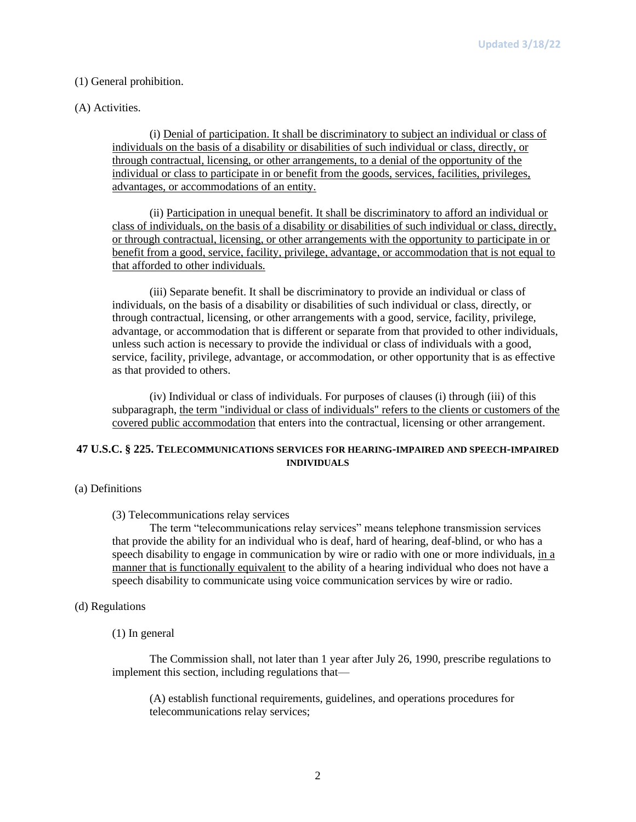### (1) General prohibition.

### (A) Activities.

(i) Denial of participation. It shall be discriminatory to subject an individual or class of individuals on the basis of a disability or disabilities of such individual or class, directly, or through contractual, licensing, or other arrangements, to a denial of the opportunity of the individual or class to participate in or benefit from the goods, services, facilities, privileges, advantages, or accommodations of an entity.

(ii) Participation in unequal benefit. It shall be discriminatory to afford an individual or class of individuals, on the basis of a disability or disabilities of such individual or class, directly, or through contractual, licensing, or other arrangements with the opportunity to participate in or benefit from a good, service, facility, privilege, advantage, or accommodation that is not equal to that afforded to other individuals.

(iii) Separate benefit. It shall be discriminatory to provide an individual or class of individuals, on the basis of a disability or disabilities of such individual or class, directly, or through contractual, licensing, or other arrangements with a good, service, facility, privilege, advantage, or accommodation that is different or separate from that provided to other individuals, unless such action is necessary to provide the individual or class of individuals with a good, service, facility, privilege, advantage, or accommodation, or other opportunity that is as effective as that provided to others.

(iv) Individual or class of individuals. For purposes of clauses (i) through (iii) of this subparagraph, the term "individual or class of individuals" refers to the clients or customers of the covered public accommodation that enters into the contractual, licensing or other arrangement.

# **47 U.S.C. § 225. TELECOMMUNICATIONS SERVICES FOR HEARING-IMPAIRED AND SPEECH-IMPAIRED INDIVIDUALS**

## (a) Definitions

(3) Telecommunications relay services

The term "telecommunications relay services" means telephone transmission services that provide the ability for an individual who is deaf, hard of hearing, deaf-blind, or who has a speech disability to engage in communication by wire or radio with one or more individuals, in a manner that is functionally equivalent to the ability of a hearing individual who does not have a speech disability to communicate using voice communication services by wire or radio.

### (d) Regulations

(1) In general

The Commission shall, not later than 1 year after July 26, 1990, prescribe regulations to implement this section, including regulations that—

(A) establish functional requirements, guidelines, and operations procedures for telecommunications relay services;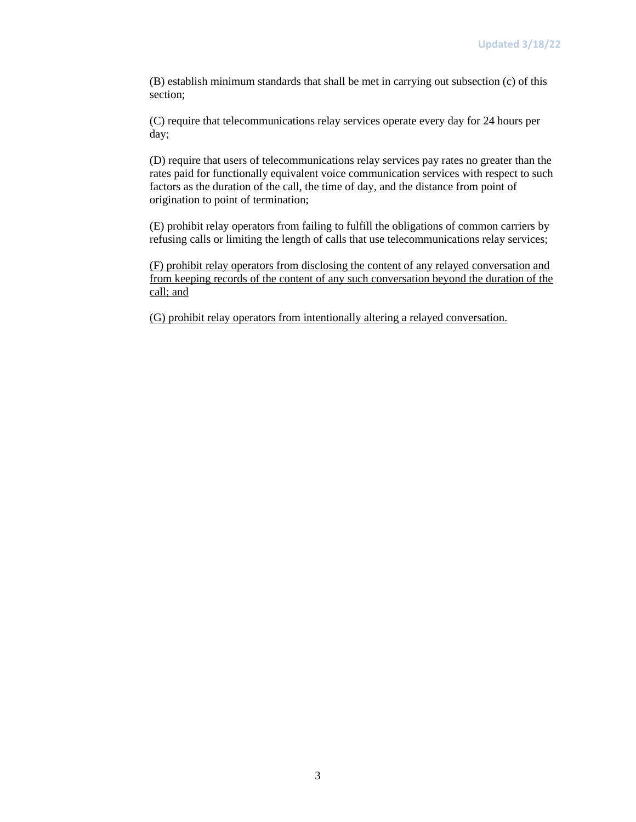(B) establish minimum standards that shall be met in carrying out subsection (c) of this section;

(C) require that telecommunications relay services operate every day for 24 hours per day;

(D) require that users of telecommunications relay services pay rates no greater than the rates paid for functionally equivalent voice communication services with respect to such factors as the duration of the call, the time of day, and the distance from point of origination to point of termination;

(E) prohibit relay operators from failing to fulfill the obligations of common carriers by refusing calls or limiting the length of calls that use telecommunications relay services;

(F) prohibit relay operators from disclosing the content of any relayed conversation and from keeping records of the content of any such conversation beyond the duration of the call; and

(G) prohibit relay operators from intentionally altering a relayed conversation.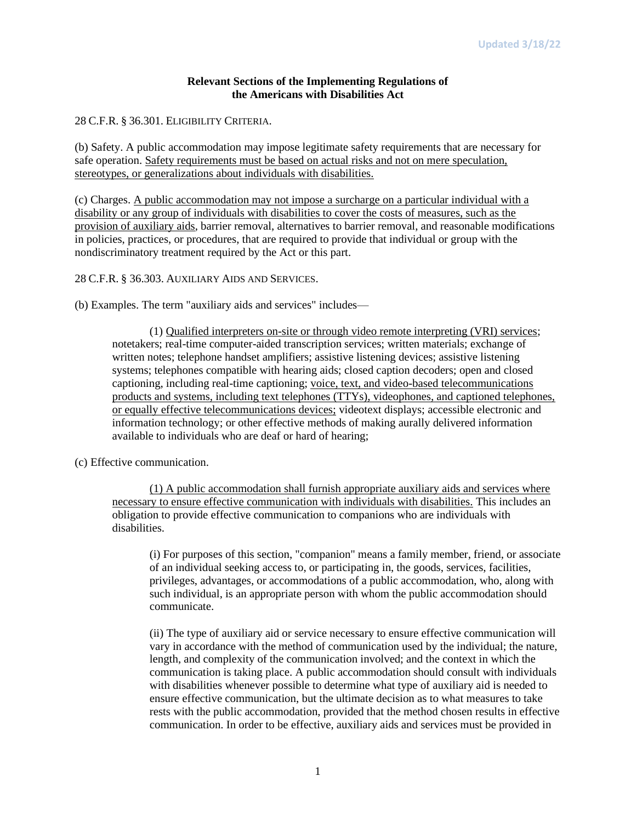## **Relevant Sections of the Implementing Regulations of the Americans with Disabilities Act**

28 C.F.R. § 36.301. ELIGIBILITY CRITERIA.

(b) Safety. A public accommodation may impose legitimate safety requirements that are necessary for safe operation. Safety requirements must be based on actual risks and not on mere speculation, stereotypes, or generalizations about individuals with disabilities.

(c) Charges. A public accommodation may not impose a surcharge on a particular individual with a disability or any group of individuals with disabilities to cover the costs of measures, such as the provision of auxiliary aids, barrier removal, alternatives to barrier removal, and reasonable modifications in policies, practices, or procedures, that are required to provide that individual or group with the nondiscriminatory treatment required by the Act or this part.

28 C.F.R. § 36.303. AUXILIARY AIDS AND SERVICES.

(b) Examples. The term "auxiliary aids and services" includes—

(1) Qualified interpreters on-site or through video remote interpreting (VRI) services; notetakers; real-time computer-aided transcription services; written materials; exchange of written notes; telephone handset amplifiers; assistive listening devices; assistive listening systems; telephones compatible with hearing aids; closed caption decoders; open and closed captioning, including real-time captioning; voice, text, and video-based telecommunications products and systems, including text telephones (TTYs), videophones, and captioned telephones, or equally effective telecommunications devices; videotext displays; accessible electronic and information technology; or other effective methods of making aurally delivered information available to individuals who are deaf or hard of hearing;

(c) Effective communication.

(1) A public accommodation shall furnish appropriate auxiliary aids and services where necessary to ensure effective communication with individuals with disabilities. This includes an obligation to provide effective communication to companions who are individuals with disabilities.

(i) For purposes of this section, "companion" means a family member, friend, or associate of an individual seeking access to, or participating in, the goods, services, facilities, privileges, advantages, or accommodations of a public accommodation, who, along with such individual, is an appropriate person with whom the public accommodation should communicate.

(ii) The type of auxiliary aid or service necessary to ensure effective communication will vary in accordance with the method of communication used by the individual; the nature, length, and complexity of the communication involved; and the context in which the communication is taking place. A public accommodation should consult with individuals with disabilities whenever possible to determine what type of auxiliary aid is needed to ensure effective communication, but the ultimate decision as to what measures to take rests with the public accommodation, provided that the method chosen results in effective communication. In order to be effective, auxiliary aids and services must be provided in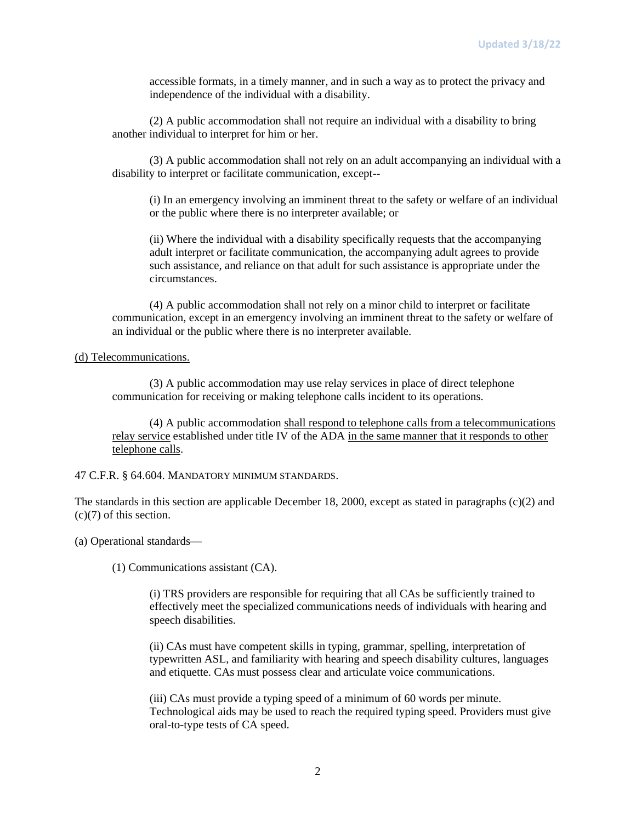accessible formats, in a timely manner, and in such a way as to protect the privacy and independence of the individual with a disability.

(2) A public accommodation shall not require an individual with a disability to bring another individual to interpret for him or her.

(3) A public accommodation shall not rely on an adult accompanying an individual with a disability to interpret or facilitate communication, except--

(i) In an emergency involving an imminent threat to the safety or welfare of an individual or the public where there is no interpreter available; or

(ii) Where the individual with a disability specifically requests that the accompanying adult interpret or facilitate communication, the accompanying adult agrees to provide such assistance, and reliance on that adult for such assistance is appropriate under the circumstances.

(4) A public accommodation shall not rely on a minor child to interpret or facilitate communication, except in an emergency involving an imminent threat to the safety or welfare of an individual or the public where there is no interpreter available.

#### (d) Telecommunications.

(3) A public accommodation may use relay services in place of direct telephone communication for receiving or making telephone calls incident to its operations.

(4) A public accommodation shall respond to telephone calls from a telecommunications relay service established under title IV of the ADA in the same manner that it responds to other telephone calls.

47 C.F.R. § 64.604. MANDATORY MINIMUM STANDARDS.

The standards in this section are applicable December 18, 2000, except as stated in paragraphs  $(c)(2)$  and (c)(7) of this section.

(a) Operational standards—

(1) Communications assistant (CA).

(i) TRS providers are responsible for requiring that all CAs be sufficiently trained to effectively meet the specialized communications needs of individuals with hearing and speech disabilities.

(ii) CAs must have competent skills in typing, grammar, spelling, interpretation of typewritten ASL, and familiarity with hearing and speech disability cultures, languages and etiquette. CAs must possess clear and articulate voice communications.

(iii) CAs must provide a typing speed of a minimum of 60 words per minute. Technological aids may be used to reach the required typing speed. Providers must give oral-to-type tests of CA speed.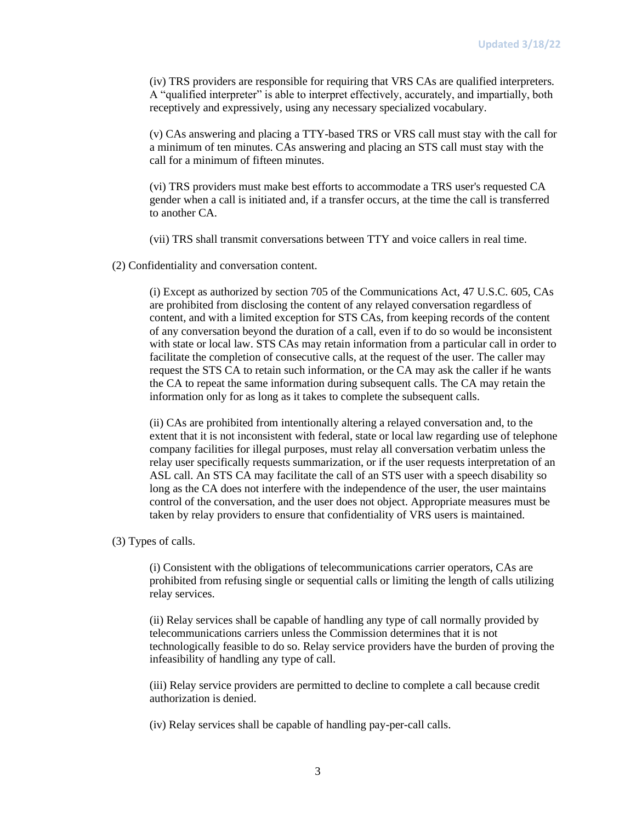(iv) TRS providers are responsible for requiring that VRS CAs are qualified interpreters. A "qualified interpreter" is able to interpret effectively, accurately, and impartially, both receptively and expressively, using any necessary specialized vocabulary.

(v) CAs answering and placing a TTY-based TRS or VRS call must stay with the call for a minimum of ten minutes. CAs answering and placing an STS call must stay with the call for a minimum of fifteen minutes.

(vi) TRS providers must make best efforts to accommodate a TRS user's requested CA gender when a call is initiated and, if a transfer occurs, at the time the call is transferred to another CA.

(vii) TRS shall transmit conversations between TTY and voice callers in real time.

(2) Confidentiality and conversation content.

(i) Except as authorized by section 705 of the Communications Act, 47 U.S.C. 605, CAs are prohibited from disclosing the content of any relayed conversation regardless of content, and with a limited exception for STS CAs, from keeping records of the content of any conversation beyond the duration of a call, even if to do so would be inconsistent with state or local law. STS CAs may retain information from a particular call in order to facilitate the completion of consecutive calls, at the request of the user. The caller may request the STS CA to retain such information, or the CA may ask the caller if he wants the CA to repeat the same information during subsequent calls. The CA may retain the information only for as long as it takes to complete the subsequent calls.

(ii) CAs are prohibited from intentionally altering a relayed conversation and, to the extent that it is not inconsistent with federal, state or local law regarding use of telephone company facilities for illegal purposes, must relay all conversation verbatim unless the relay user specifically requests summarization, or if the user requests interpretation of an ASL call. An STS CA may facilitate the call of an STS user with a speech disability so long as the CA does not interfere with the independence of the user, the user maintains control of the conversation, and the user does not object. Appropriate measures must be taken by relay providers to ensure that confidentiality of VRS users is maintained.

(3) Types of calls.

(i) Consistent with the obligations of telecommunications carrier operators, CAs are prohibited from refusing single or sequential calls or limiting the length of calls utilizing relay services.

(ii) Relay services shall be capable of handling any type of call normally provided by telecommunications carriers unless the Commission determines that it is not technologically feasible to do so. Relay service providers have the burden of proving the infeasibility of handling any type of call.

(iii) Relay service providers are permitted to decline to complete a call because credit authorization is denied.

(iv) Relay services shall be capable of handling pay-per-call calls.